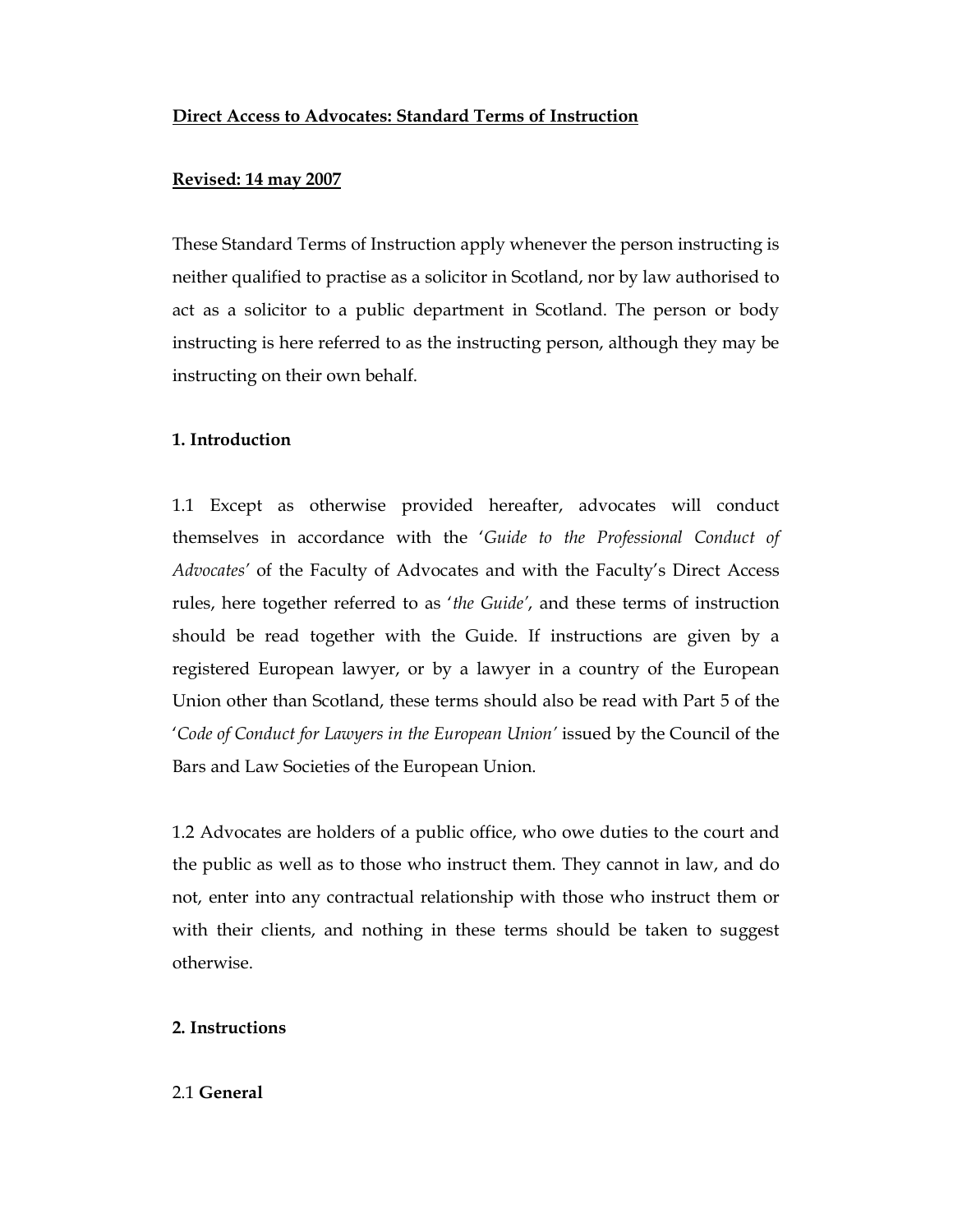## Direct Access to Advocates: Standard Terms of Instruction

## Revised: 14 may 2007

These Standard Terms of Instruction apply whenever the person instructing is neither qualified to practise as a solicitor in Scotland, nor by law authorised to act as a solicitor to a public department in Scotland. The person or body instructing is here referred to as the instructing person, although they may be instructing on their own behalf.

## 1. Introduction

1.1 Except as otherwise provided hereafter, advocates will conduct themselves in accordance with the 'Guide to the Professional Conduct of Advocates' of the Faculty of Advocates and with the Faculty's Direct Access rules, here together referred to as 'the Guide', and these terms of instruction should be read together with the Guide. If instructions are given by a registered European lawyer, or by a lawyer in a country of the European Union other than Scotland, these terms should also be read with Part 5 of the 'Code of Conduct for Lawyers in the European Union' issued by the Council of the Bars and Law Societies of the European Union.

1.2 Advocates are holders of a public office, who owe duties to the court and the public as well as to those who instruct them. They cannot in law, and do not, enter into any contractual relationship with those who instruct them or with their clients, and nothing in these terms should be taken to suggest otherwise.

# 2. Instructions

### 2.1 General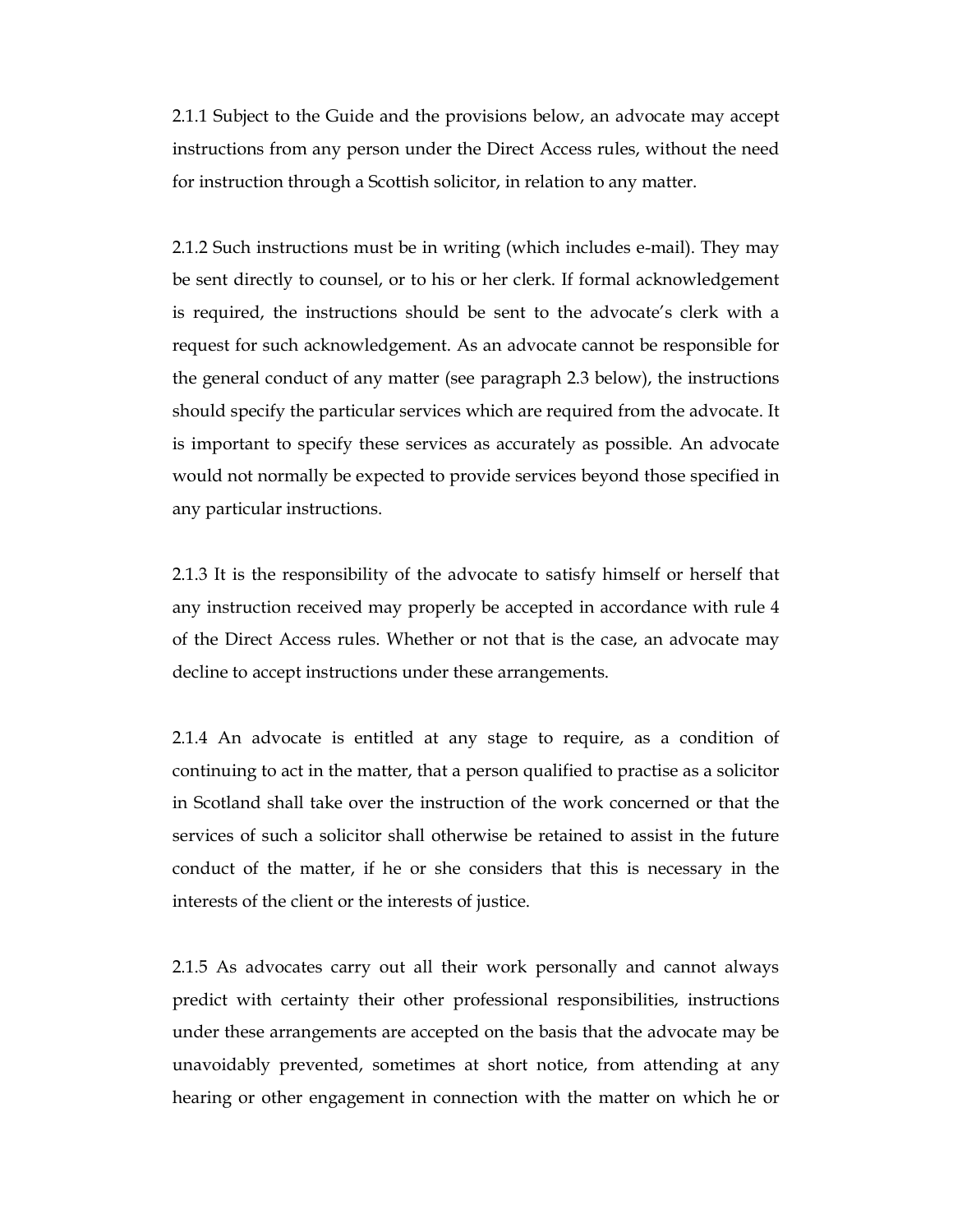2.1.1 Subject to the Guide and the provisions below, an advocate may accept instructions from any person under the Direct Access rules, without the need for instruction through a Scottish solicitor, in relation to any matter.

2.1.2 Such instructions must be in writing (which includes e-mail). They may be sent directly to counsel, or to his or her clerk. If formal acknowledgement is required, the instructions should be sent to the advocate's clerk with a request for such acknowledgement. As an advocate cannot be responsible for the general conduct of any matter (see paragraph 2.3 below), the instructions should specify the particular services which are required from the advocate. It is important to specify these services as accurately as possible. An advocate would not normally be expected to provide services beyond those specified in any particular instructions.

2.1.3 It is the responsibility of the advocate to satisfy himself or herself that any instruction received may properly be accepted in accordance with rule 4 of the Direct Access rules. Whether or not that is the case, an advocate may decline to accept instructions under these arrangements.

2.1.4 An advocate is entitled at any stage to require, as a condition of continuing to act in the matter, that a person qualified to practise as a solicitor in Scotland shall take over the instruction of the work concerned or that the services of such a solicitor shall otherwise be retained to assist in the future conduct of the matter, if he or she considers that this is necessary in the interests of the client or the interests of justice.

2.1.5 As advocates carry out all their work personally and cannot always predict with certainty their other professional responsibilities, instructions under these arrangements are accepted on the basis that the advocate may be unavoidably prevented, sometimes at short notice, from attending at any hearing or other engagement in connection with the matter on which he or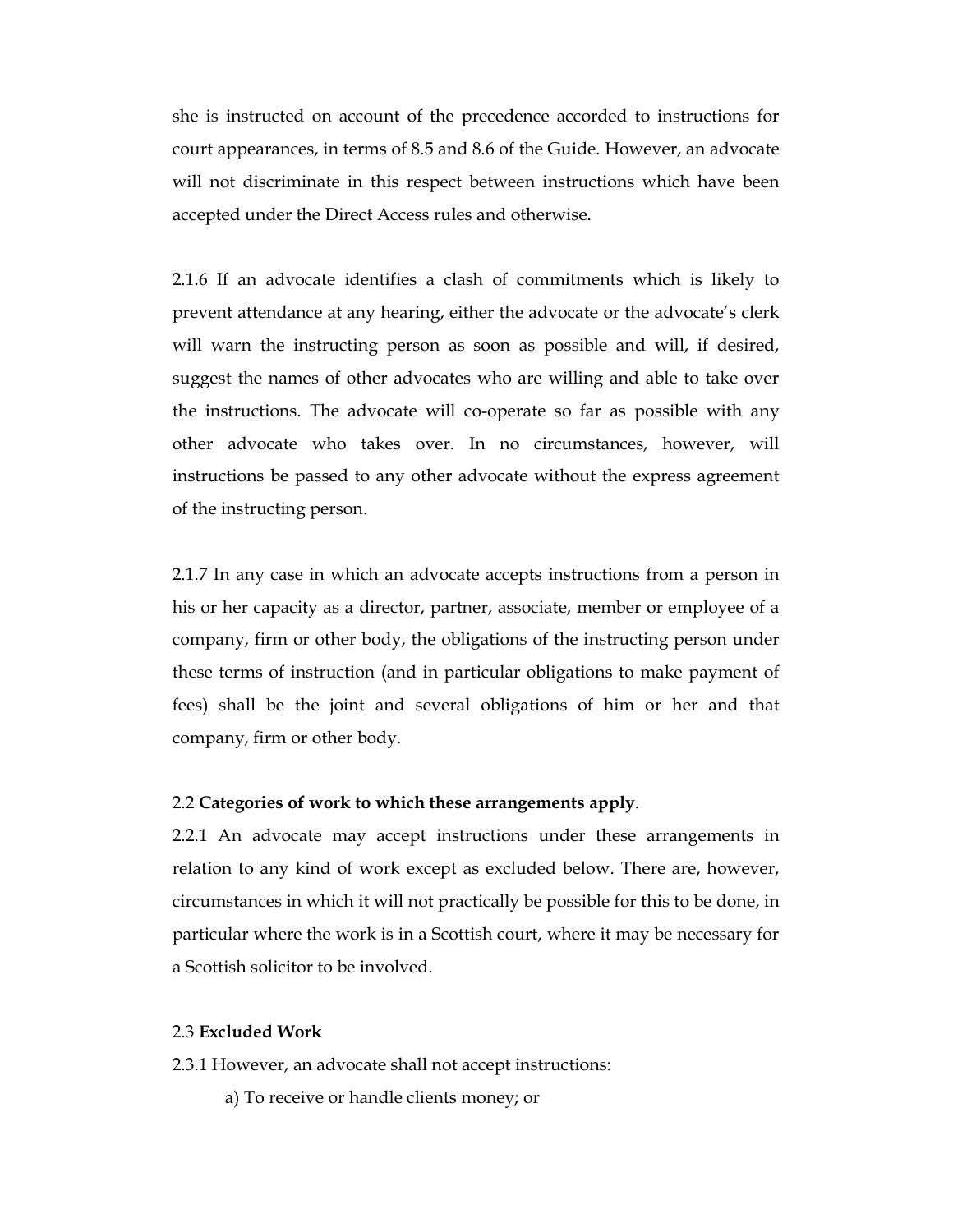she is instructed on account of the precedence accorded to instructions for court appearances, in terms of 8.5 and 8.6 of the Guide. However, an advocate will not discriminate in this respect between instructions which have been accepted under the Direct Access rules and otherwise.

2.1.6 If an advocate identifies a clash of commitments which is likely to prevent attendance at any hearing, either the advocate or the advocate's clerk will warn the instructing person as soon as possible and will, if desired, suggest the names of other advocates who are willing and able to take over the instructions. The advocate will co-operate so far as possible with any other advocate who takes over. In no circumstances, however, will instructions be passed to any other advocate without the express agreement of the instructing person.

2.1.7 In any case in which an advocate accepts instructions from a person in his or her capacity as a director, partner, associate, member or employee of a company, firm or other body, the obligations of the instructing person under these terms of instruction (and in particular obligations to make payment of fees) shall be the joint and several obligations of him or her and that company, firm or other body.

### 2.2 Categories of work to which these arrangements apply.

2.2.1 An advocate may accept instructions under these arrangements in relation to any kind of work except as excluded below. There are, however, circumstances in which it will not practically be possible for this to be done, in particular where the work is in a Scottish court, where it may be necessary for a Scottish solicitor to be involved.

### 2.3 Excluded Work

2.3.1 However, an advocate shall not accept instructions:

a) To receive or handle clients money; or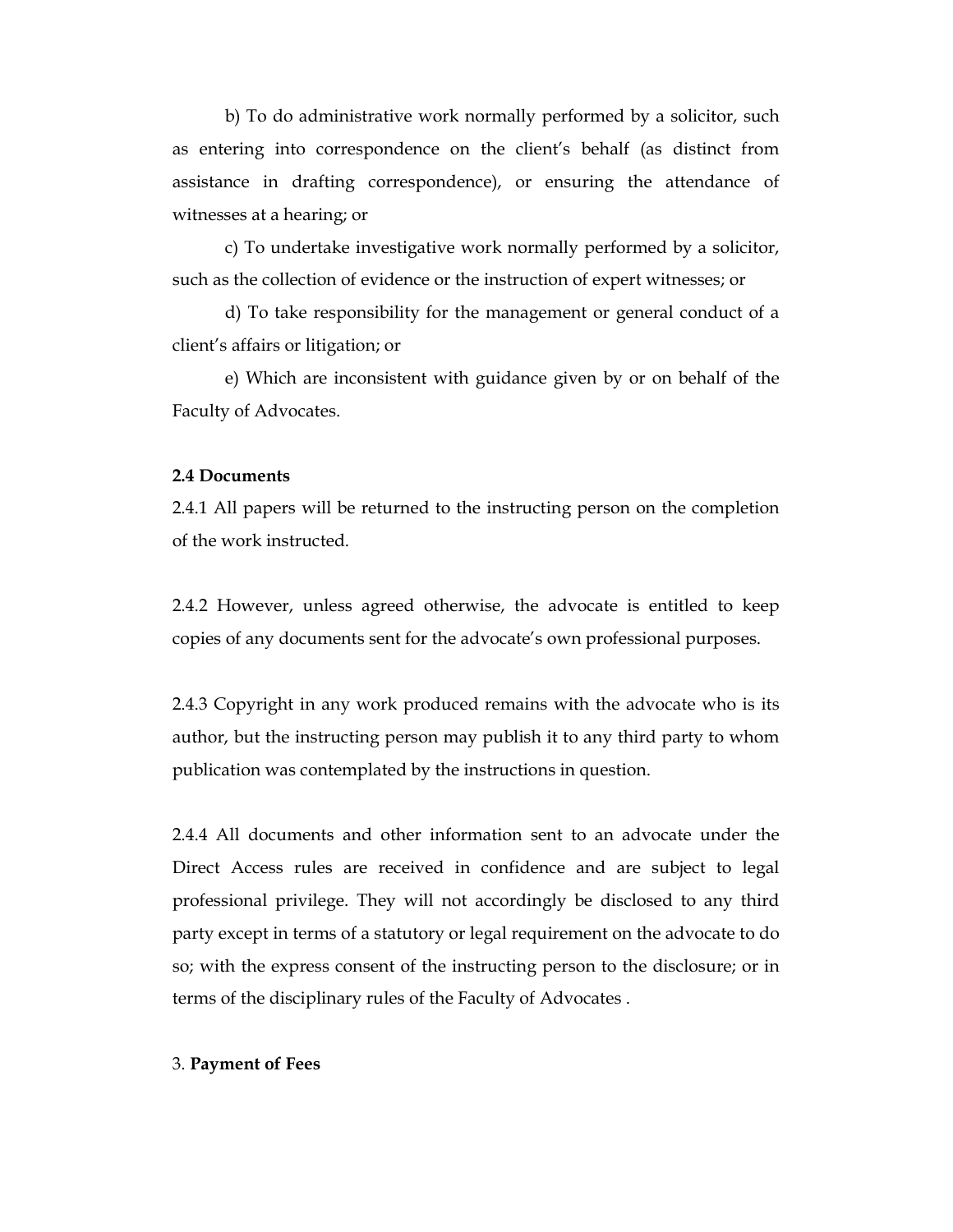b) To do administrative work normally performed by a solicitor, such as entering into correspondence on the client's behalf (as distinct from assistance in drafting correspondence), or ensuring the attendance of witnesses at a hearing; or

c) To undertake investigative work normally performed by a solicitor, such as the collection of evidence or the instruction of expert witnesses; or

d) To take responsibility for the management or general conduct of a client's affairs or litigation; or

e) Which are inconsistent with guidance given by or on behalf of the Faculty of Advocates.

#### 2.4 Documents

2.4.1 All papers will be returned to the instructing person on the completion of the work instructed.

2.4.2 However, unless agreed otherwise, the advocate is entitled to keep copies of any documents sent for the advocate's own professional purposes.

2.4.3 Copyright in any work produced remains with the advocate who is its author, but the instructing person may publish it to any third party to whom publication was contemplated by the instructions in question.

2.4.4 All documents and other information sent to an advocate under the Direct Access rules are received in confidence and are subject to legal professional privilege. They will not accordingly be disclosed to any third party except in terms of a statutory or legal requirement on the advocate to do so; with the express consent of the instructing person to the disclosure; or in terms of the disciplinary rules of the Faculty of Advocates .

### 3. Payment of Fees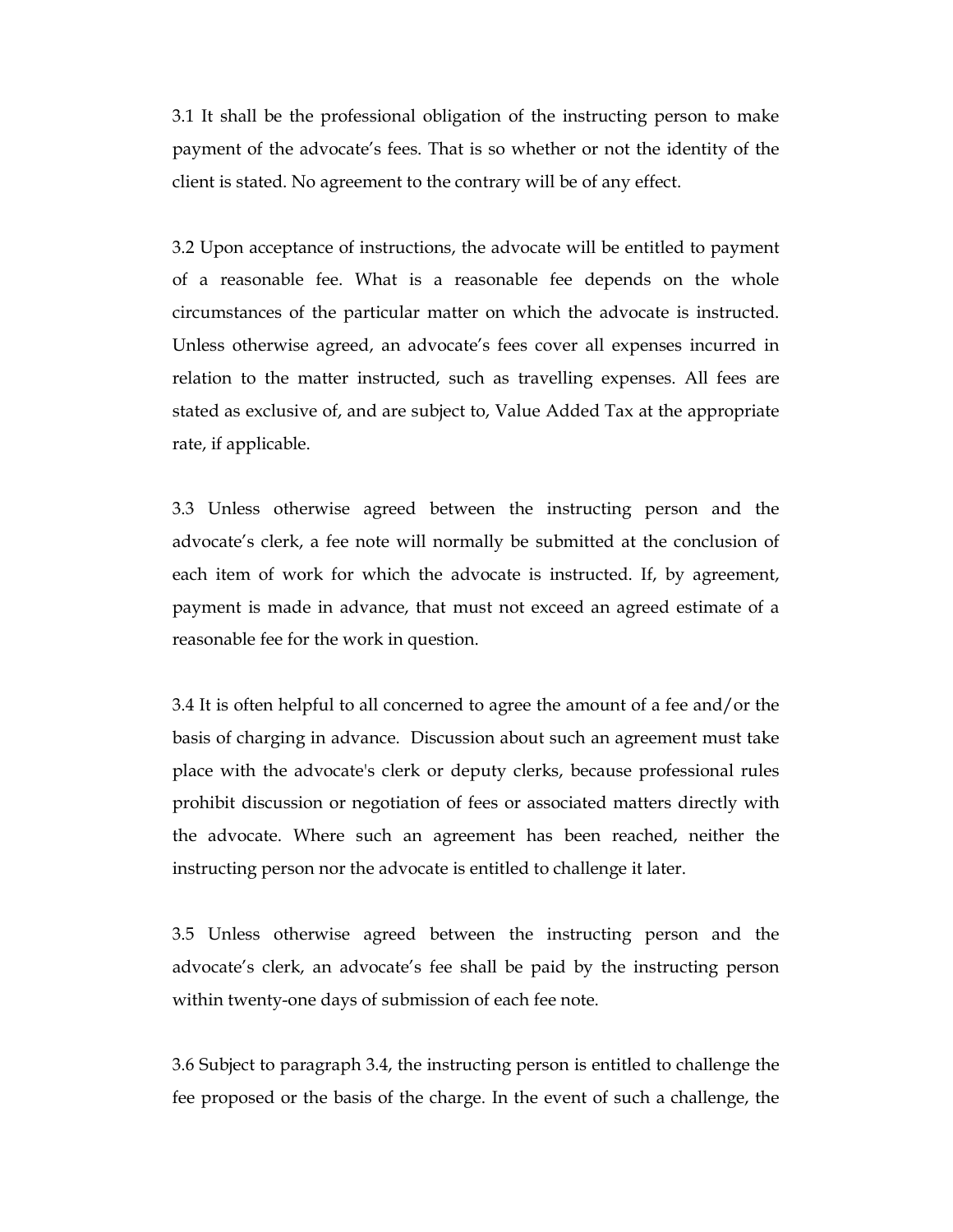3.1 It shall be the professional obligation of the instructing person to make payment of the advocate's fees. That is so whether or not the identity of the client is stated. No agreement to the contrary will be of any effect.

3.2 Upon acceptance of instructions, the advocate will be entitled to payment of a reasonable fee. What is a reasonable fee depends on the whole circumstances of the particular matter on which the advocate is instructed. Unless otherwise agreed, an advocate's fees cover all expenses incurred in relation to the matter instructed, such as travelling expenses. All fees are stated as exclusive of, and are subject to, Value Added Tax at the appropriate rate, if applicable.

3.3 Unless otherwise agreed between the instructing person and the advocate's clerk, a fee note will normally be submitted at the conclusion of each item of work for which the advocate is instructed. If, by agreement, payment is made in advance, that must not exceed an agreed estimate of a reasonable fee for the work in question.

3.4 It is often helpful to all concerned to agree the amount of a fee and/or the basis of charging in advance. Discussion about such an agreement must take place with the advocate's clerk or deputy clerks, because professional rules prohibit discussion or negotiation of fees or associated matters directly with the advocate. Where such an agreement has been reached, neither the instructing person nor the advocate is entitled to challenge it later.

3.5 Unless otherwise agreed between the instructing person and the advocate's clerk, an advocate's fee shall be paid by the instructing person within twenty-one days of submission of each fee note.

3.6 Subject to paragraph 3.4, the instructing person is entitled to challenge the fee proposed or the basis of the charge. In the event of such a challenge, the